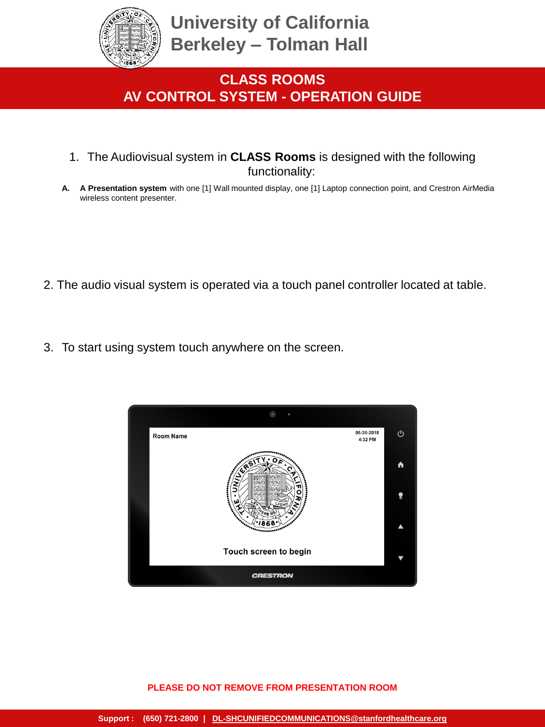

- 1. The Audiovisual system in **CLASS Rooms** is designed with the following functionality:
- **A. A Presentation system** with one [1] Wall mounted display, one [1] Laptop connection point, and Crestron AirMedia wireless content presenter.

- 2. The audio visual system is operated via a touch panel controller located at table.
- 3. To start using system touch anywhere on the screen.

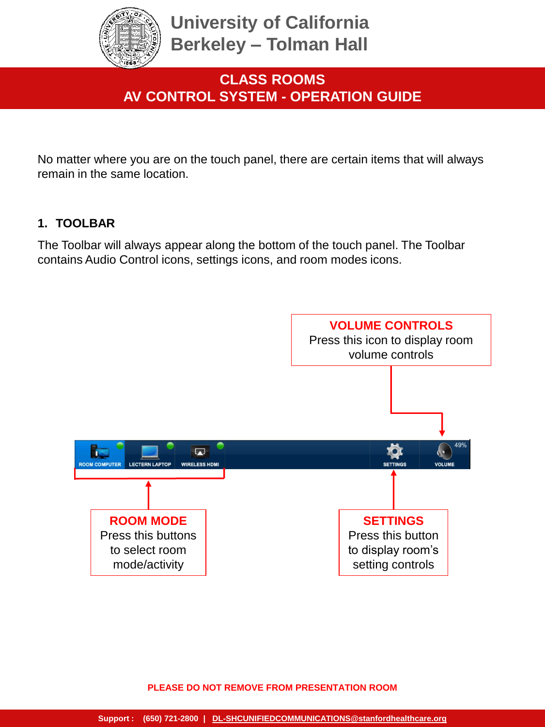

No matter where you are on the touch panel, there are certain items that will always remain in the same location.

### **1. TOOLBAR**

The Toolbar will always appear along the bottom of the touch panel. The Toolbar contains Audio Control icons, settings icons, and room modes icons.

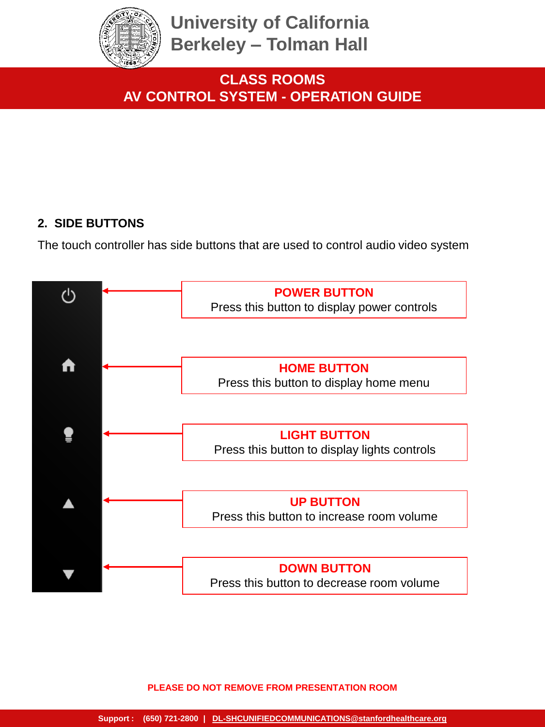

**CLASS ROOMS AV CONTROL SYSTEM - OPERATION GUIDE**

### **2. SIDE BUTTONS**

The touch controller has side buttons that are used to control audio video system

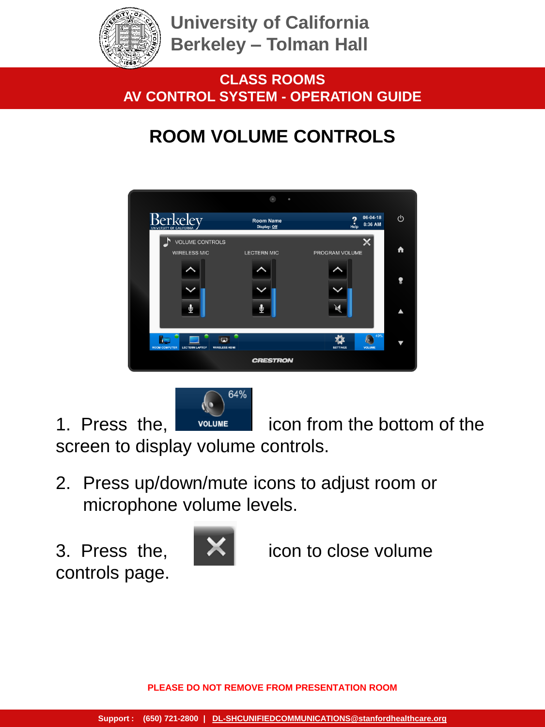

**CLASS ROOMS AV CONTROL SYSTEM - OPERATION GUIDE**

# **ROOM VOLUME CONTROLS**





1. Press the, **inclume** icon from the bottom of the

screen to display volume controls.

- 2. Press up/down/mute icons to adjust room or microphone volume levels.
- controls page.



3. Press the, **ightarrow** icon to close volume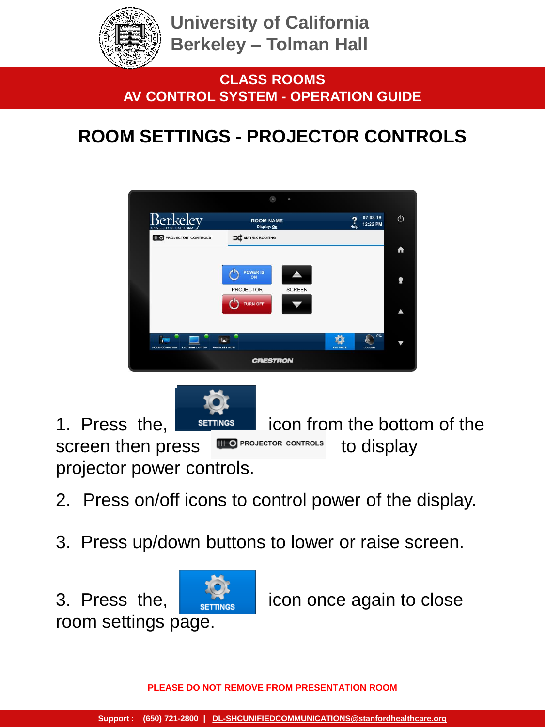

# **ROOM SETTINGS - PROJECTOR CONTROLS**

|                                               | $\sim$                          | $\bullet$     |                 |                      |   |  |  |
|-----------------------------------------------|---------------------------------|---------------|-----------------|----------------------|---|--|--|
| Berkeley                                      | <b>ROOM NAME</b><br>Display: On |               | 2<br>Help       | 07-03-18<br>12:22 PM | ↺ |  |  |
| <b>III O PROJECTOR CONTROLS</b>               | MATRIX ROUTING                  |               |                 |                      |   |  |  |
|                                               |                                 |               |                 |                      | A |  |  |
|                                               | POWER IS<br><b>PROJECTOR</b>    | <b>SCREEN</b> |                 |                      | ❣ |  |  |
|                                               | <b>TURN OFF</b>                 |               |                 |                      |   |  |  |
| <b>ROOM COMPUTER</b><br><b>LECTERN LAPTOP</b> | PV.<br><b>WIRELESS HDMI</b>     |               | <b>SETTINGS</b> | 0%<br>b<br>VOLUME    |   |  |  |
| <b>CRESTRON</b>                               |                                 |               |                 |                      |   |  |  |



- 2. Press on/off icons to control power of the display.
- 3. Press up/down buttons to lower or raise screen.



3. Press the,  $\frac{1}{\sqrt{2}}$  icon once again to close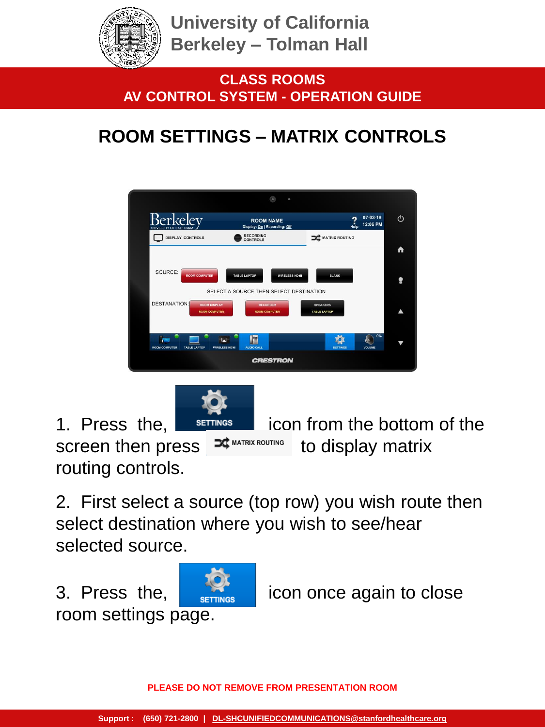

**CLASS ROOMS AV CONTROL SYSTEM - OPERATION GUIDE**

# **ROOM SETTINGS – MATRIX CONTROLS**





1. Press the,  $\overline{\phantom{a}}$  serrings icon from the bottom of the screen then press  $\mathbf{R}^{\text{max}$  matrix routing to display matrix

2. First select a source (top row) you wish route then select destination where you wish to see/hear selected source.

room settings page.

routing controls.

3. Press the,  $\frac{1}{2}$  icon once again to close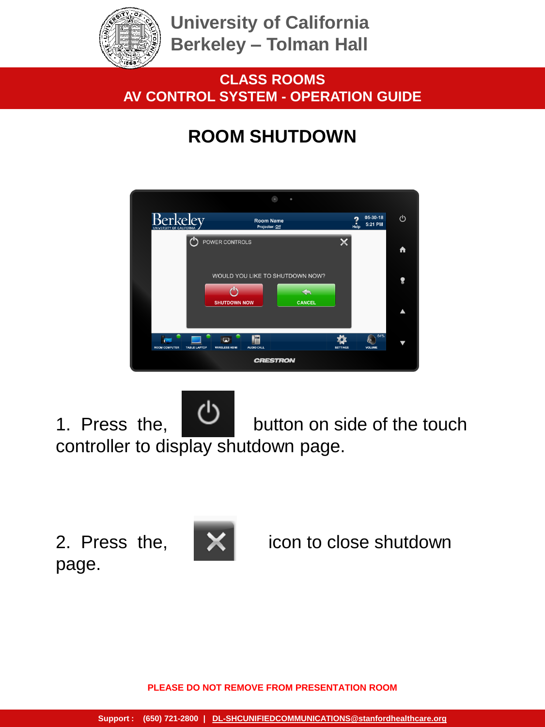

## **CLASS ROOMS AV CONTROL SYSTEM - OPERATION GUIDE**

## **ROOM SHUTDOWN**



1. Press the, **button** on side of the touch controller to display shutdown page.

page.



2. Press the, **X** icon to close shutdown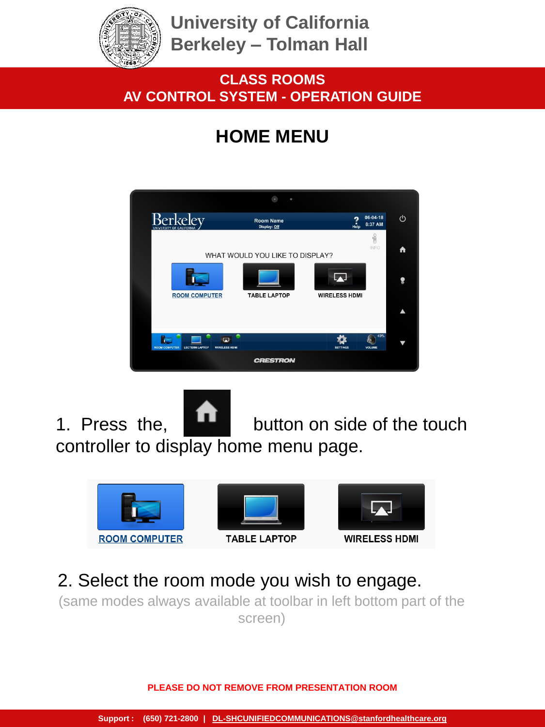

## **CLASS ROOMS AV CONTROL SYSTEM - OPERATION GUIDE**

## **HOME MENU**



1. Press the, **button** on side of the touch controller to display home menu page.



## 2. Select the room mode you wish to engage.

(same modes always available at toolbar in left bottom part of the screen)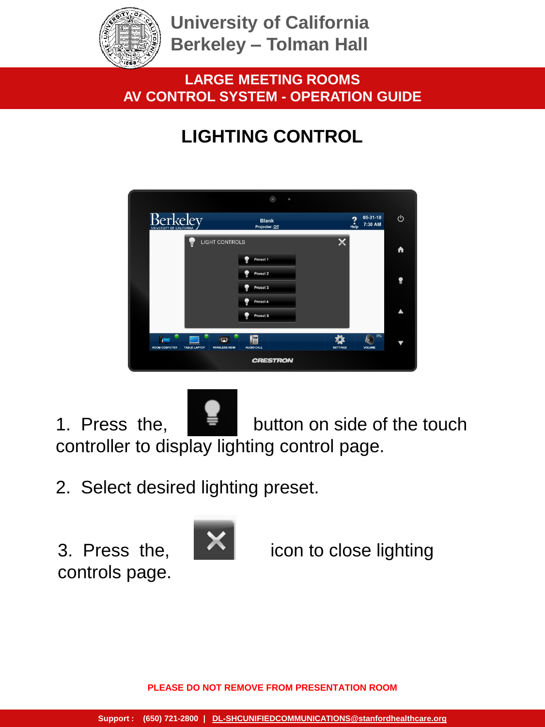

## **LARGE MEETING ROOMS AV CONTROL SYSTEM - OPERATION GUIDE**

# **LIGHTING CONTROL**

|                                             |                                                  | $\bullet$                      | $\circ$         |                                              |    |  |  |
|---------------------------------------------|--------------------------------------------------|--------------------------------|-----------------|----------------------------------------------|----|--|--|
| <b>Berkelev</b><br>UNIVERSITY OF CALIFORNIA |                                                  | <b>Blank</b><br>Projector: Off |                 | 05-31-18<br>$\frac{2}{\text{He}}$<br>7:30 AM | U  |  |  |
|                                             | <b>LIGHT CONTROLS</b>                            |                                |                 |                                              | A  |  |  |
|                                             |                                                  | Ð<br>Preset 1<br>Preset 2      |                 |                                              |    |  |  |
|                                             |                                                  | Preset 3                       |                 |                                              | Չ  |  |  |
|                                             |                                                  | Preset 4<br>Preset 5           |                 |                                              | ▲  |  |  |
|                                             |                                                  |                                |                 |                                              | 0% |  |  |
| <b>ROOM COMPUTER</b>                        | 闁<br><b>WIRELESS HDMI</b><br><b>TABLE LAPTOP</b> | E<br>AUDIO CALL                | <b>SETTINGS</b> | ķ.<br>VOLUME                                 | ₩  |  |  |
| <b>CRESTRON</b>                             |                                                  |                                |                 |                                              |    |  |  |

1. Press the,  $\frac{1}{2}$  button on side of the touch controller to display lighting control page.

2. Select desired lighting preset.

controls page.



3. Press the,  $\left\lfloor \bigwedge \right\rfloor$  icon to close lighting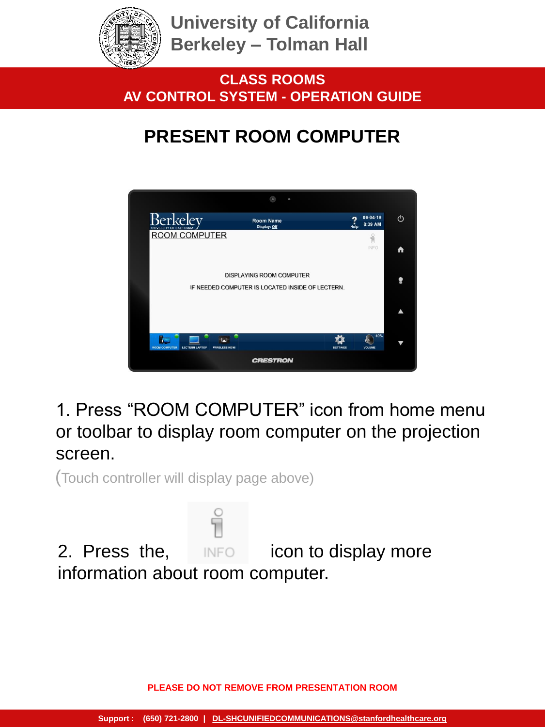

**CLASS ROOMS AV CONTROL SYSTEM - OPERATION GUIDE**

## **PRESENT ROOM COMPUTER**



1. Press "ROOM COMPUTER" icon from home menu or toolbar to display room computer on the projection screen.

(Touch controller will display page above)

2. Press the, **inforce** icon to display more information about room computer.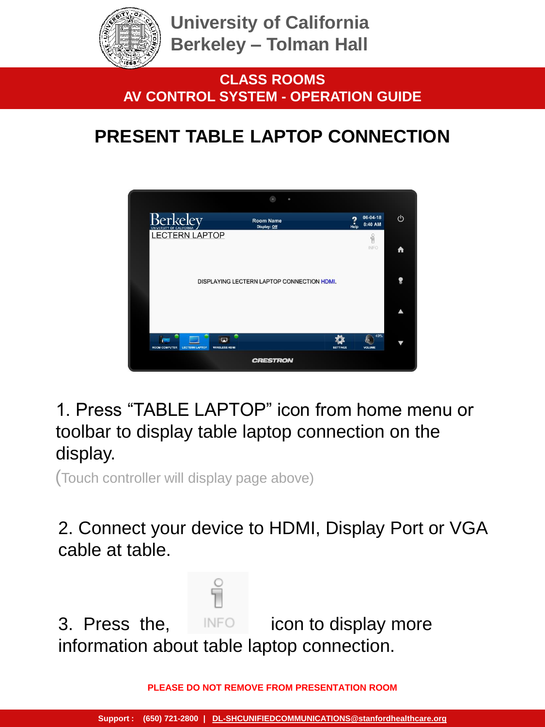

**CLASS ROOMS AV CONTROL SYSTEM - OPERATION GUIDE**

## **PRESENT TABLE LAPTOP CONNECTION**



1. Press "TABLE LAPTOP" icon from home menu or toolbar to display table laptop connection on the display.

(Touch controller will display page above)

2. Connect your device to HDMI, Display Port or VGA cable at table.

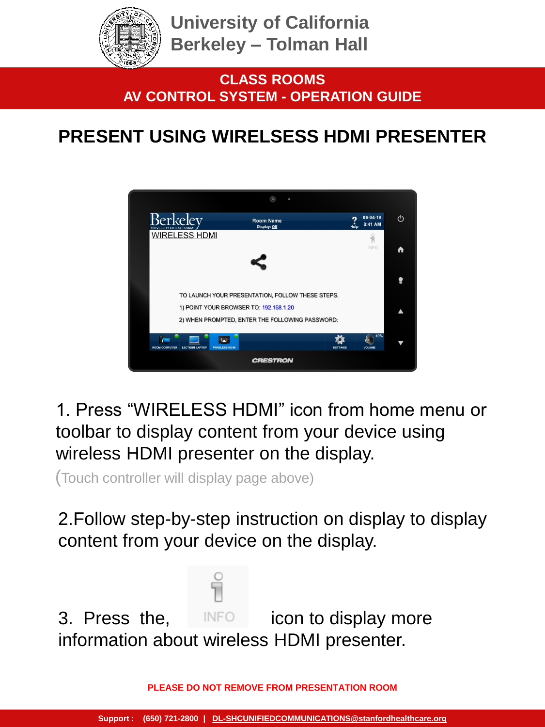

## **PRESENT USING WIRELSESS HDMI PRESENTER**



1. Press "WIRELESS HDMI" icon from home menu or toolbar to display content from your device using wireless HDMI presenter on the display.

(Touch controller will display page above)

2.Follow step-by-step instruction on display to display content from your device on the display.

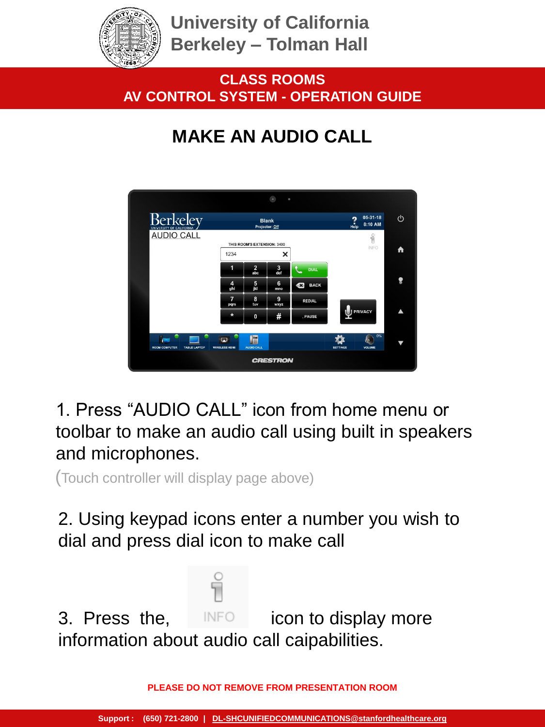

**CLASS ROOMS AV CONTROL SYSTEM - OPERATION GUIDE**

# **MAKE AN AUDIO CALL**



1. Press "AUDIO CALL" icon from home menu or toolbar to make an audio call using built in speakers and microphones.

(Touch controller will display page above)

2. Using keypad icons enter a number you wish to dial and press dial icon to make call

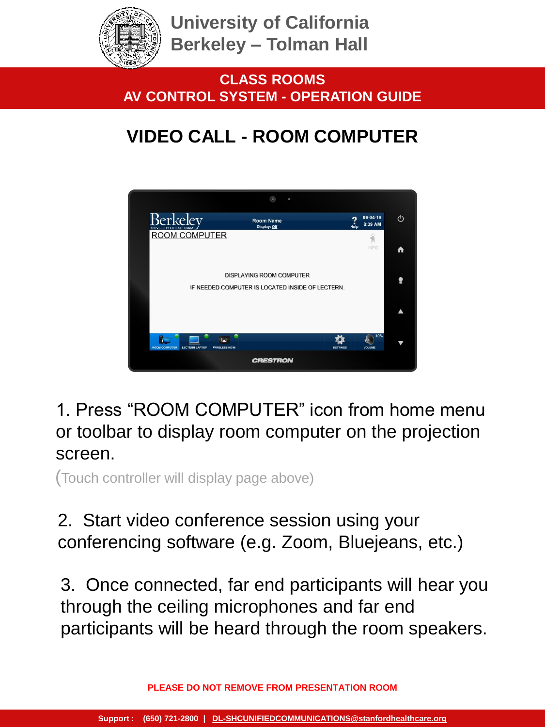

**CLASS ROOMS AV CONTROL SYSTEM - OPERATION GUIDE**

# **VIDEO CALL - ROOM COMPUTER**



1. Press "ROOM COMPUTER" icon from home menu or toolbar to display room computer on the projection screen.

(Touch controller will display page above)

## 2. Start video conference session using your conferencing software (e.g. Zoom, Bluejeans, etc.)

3. Once connected, far end participants will hear you through the ceiling microphones and far end participants will be heard through the room speakers.